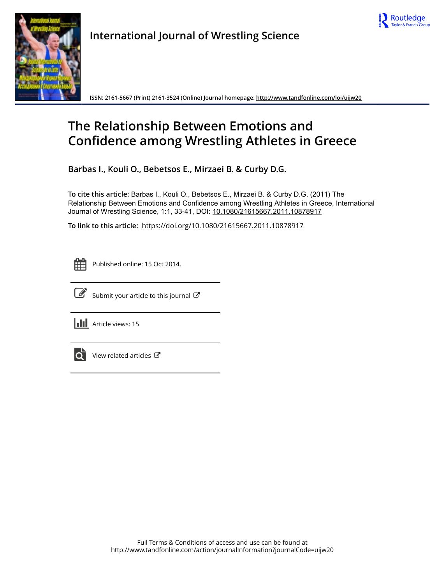



**International Journal of Wrestling Science**

**ISSN: 2161-5667 (Print) 2161-3524 (Online) Journal homepage:<http://www.tandfonline.com/loi/uijw20>**

# **The Relationship Between Emotions and Confidence among Wrestling Athletes in Greece**

**Barbas I., Kouli O., Bebetsos E., Mirzaei B. & Curby D.G.**

**To cite this article:** Barbas I., Kouli O., Bebetsos E., Mirzaei B. & Curby D.G. (2011) The Relationship Between Emotions and Confidence among Wrestling Athletes in Greece, International Journal of Wrestling Science, 1:1, 33-41, DOI: [10.1080/21615667.2011.10878917](http://www.tandfonline.com/action/showCitFormats?doi=10.1080/21615667.2011.10878917)

**To link to this article:** <https://doi.org/10.1080/21615667.2011.10878917>

|  | --<br>_ |  |
|--|---------|--|
|  |         |  |
|  |         |  |
|  |         |  |

Published online: 15 Oct 2014.



 $\overline{\mathscr{L}}$  [Submit your article to this journal](http://www.tandfonline.com/action/authorSubmission?journalCode=uijw20&show=instructions)  $\mathbb{F}$ 

**III** Article views: 15



 $\overrightarrow{Q}$  [View related articles](http://www.tandfonline.com/doi/mlt/10.1080/21615667.2011.10878917)  $\overrightarrow{C}$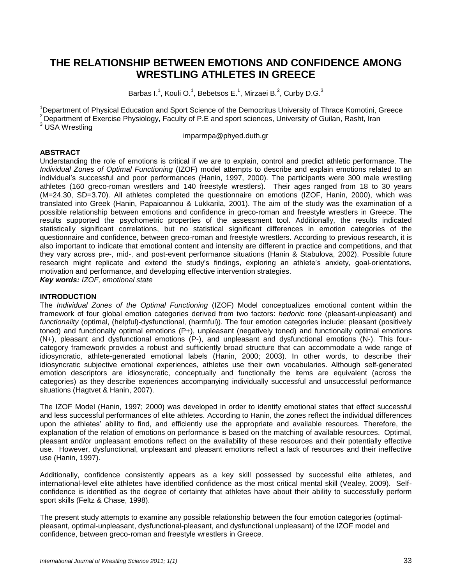# **THE RELATIONSHIP BETWEEN EMOTIONS AND CONFIDENCE AMONG WRESTLING ATHLETES IN GREECE**

Barbas I.<sup>1</sup>, Kouli O.<sup>1</sup>, Bebetsos E.<sup>1</sup>, Mirzaei B.<sup>2</sup>, Curby D.G.<sup>3</sup>

<sup>1</sup>Department of Physical Education and Sport Science of the Democritus University of Thrace Komotini, Greece  $2$  Department of Exercise Physiology, Faculty of P.E and sport sciences, University of Guilan, Rasht, Iran <sup>3</sup> USA Wrestling

imparmp[a@phyed.duth.gr](mailto:okouli@phyed.duth.gr)

# **ABSTRACT**

Understanding the role of emotions is critical if we are to explain, control and predict athletic performance. The *Individual Zones of Optimal Functioning* (IZOF) model attempts to describe and explain emotions related to an individual"s successful and poor performances (Hanin, 1997, 2000). The participants were 300 male wrestling athletes (160 greco-roman wrestlers and 140 freestyle wrestlers). Their ages ranged from 18 to 30 years (M=24.30, SD=3.70). All athletes completed the questionnaire on emotions (IZOF, Hanin, 2000), which was translated into Greek (Hanin, Papaioannou & Lukkarila, 2001). The aim of the study was the examination of a possible relationship between emotions and confidence in greco-roman and freestyle wrestlers in Greece. The results supported the psychometric properties of the assessment tool. Additionally, the results indicated statistically significant correlations, but no statistical significant differences in emotion categories of the questionnaire and confidence, between greco-roman and freestyle wrestlers. According to previous research, it is also important to indicate that emotional content and intensity are different in practice and competitions, and that they vary across pre-, mid-, and post-event performance situations (Hanin & Stabulova, 2002). Possible future research might replicate and extend the study's findings, exploring an athlete's anxiety, goal-orientations, motivation and performance, and developing effective intervention strategies.

*Key words: IZOF, emotional state*

#### **INTRODUCTION**

The *Individual Zones of the Optimal Functioning* (IZOF) Model conceptualizes emotional content within the framework of four global emotion categories derived from two factors: *hedonic tone* (pleasant-unpleasant) and *functionality* (optimal, (helpful)-dysfunctional, (harmful)). The four emotion categories include: pleasant (positively toned) and functionally optimal emotions (P+), unpleasant (negatively toned) and functionally optimal emotions (N+), pleasant and dysfunctional emotions (P-), and unpleasant and dysfunctional emotions (N-). This fourcategory framework provides a robust and sufficiently broad structure that can accommodate a wide range of idiosyncratic, athlete-generated emotional labels (Hanin, 2000; 2003). In other words, to describe their idiosyncratic subjective emotional experiences, athletes use their own vocabularies. Although self-generated emotion descriptors are idiosyncratic, conceptually and functionally the items are equivalent (across the categories) as they describe experiences accompanying individually successful and unsuccessful performance situations (Hagtvet & Hanin, 2007).

The IZOF Model (Hanin, 1997; 2000) was developed in order to identify emotional states that effect successful and less successful performances of elite athletes. According to Hanin, the zones reflect the individual differences upon the athletes" ability to find, and efficiently use the appropriate and available resources. Therefore, the explanation of the relation of emotions on performance is based on the matching of available resources. Optimal, pleasant and/or unpleasant emotions reflect on the availability of these resources and their potentially effective use. However, dysfunctional, unpleasant and pleasant emotions reflect a lack of resources and their ineffective use (Hanin, 1997).

Additionally, confidence consistently appears as a key skill possessed by successful elite athletes, and international-level elite athletes have identified confidence as the most critical mental skill (Vealey, 2009). Selfconfidence is identified as the degree of certainty that athletes have about their ability to successfully perform sport skills (Feltz & Chase, 1998).

The present study attempts to examine any possible relationship between the four emotion categories (optimalpleasant, optimal-unpleasant, dysfunctional-pleasant, and dysfunctional unpleasant) of the IZOF model and confidence, between greco-roman and freestyle wrestlers in Greece.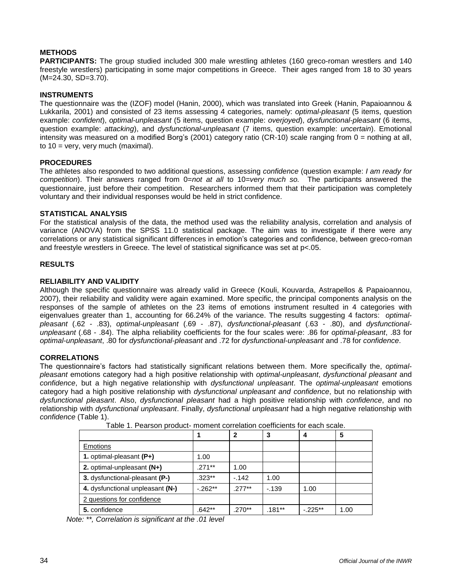# **METHODS**

**PARTICIPANTS:** The group studied included 300 male wrestling athletes (160 greco-roman wrestlers and 140 freestyle wrestlers) participating in some major competitions in Greece. Their ages ranged from 18 to 30 years (M=24.30, SD=3.70).

## **INSTRUMENTS**

The questionnaire was the (IZOF) model (Hanin, 2000), which was translated into Greek (Hanin, Papaioannou & Lukkarila, 2001) and consisted of 23 items assessing 4 categories, namely: *optimal-pleasant* (5 items, question example: *confident*), *optimal-unpleasant* (5 items, question example: *overjoyed*), *dysfunctional-pleasant* (6 items, question example: *attacking*), and *dysfunctional-unpleasant* (7 items, question example: *uncertain*). Emotional intensity was measured on a modified Borg's (2001) category ratio (CR-10) scale ranging from 0 = nothing at all, to  $10 = \text{very}$ , very much (maximal).

## **PROCEDURES**

The athletes also responded to two additional questions, assessing *confidence* (question example: *I am ready for competition*). Their answers ranged from 0=*not at all* to 10=*very much so.* The participants answered the questionnaire, just before their competition. Researchers informed them that their participation was completely voluntary and their individual responses would be held in strict confidence.

#### **STATISTICAL ANALYSIS**

For the statistical analysis of the data, the method used was the reliability analysis, correlation and analysis of variance (ANOVA) from the SPSS 11.0 statistical package. The aim was to investigate if there were any correlations or any statistical significant differences in emotion"s categories and confidence, between greco-roman and freestyle wrestlers in Greece. The level of statistical significance was set at  $p<.05$ .

## **RESULTS**

## **RELIABILITY AND VALIDITY**

Although the specific questionnaire was already valid in Greece (Kouli, Kouvarda, Astrapellos & Papaioannou, 2007), their reliability and validity were again examined. More specific, the principal components analysis on the responses of the sample of athletes on the 23 items of emotions instrument resulted in 4 categories with eigenvalues greater than 1, accounting for 66.24% of the variance. The results suggesting 4 factors: *optimalpleasant* (.62 - .83), *optimal-unpleasant* (.69 - .87), *dysfunctional-pleasant* (.63 - .80), and *dysfunctionalunpleasant* (.68 - .84). The alpha reliability coefficients for the four scales were: .86 for *optimal-pleasant*, .83 for *optimal-unpleasant*, .80 for *dysfunctional-pleasant* and .72 for *dysfunctional-unpleasant* and .78 for *confidence*.

#### **CORRELATIONS**

The questionnaire"s factors had statistically significant relations between them. More specifically the, *optimalpleasant* emotions category had a high positive relationship with *optimal-unpleasant*, *dysfunctional pleasant* and *confidence*, but a high negative relationship with *dysfunctional unpleasant*. The *optimal-unpleasant* emotions category had a high positive relationship with *dysfunctional unpleasant and confidence*, but no relationship with *dysfunctional pleasant*. Also, *dysfunctional pleasant* had a high positive relationship with *confidence*, and no relationship with *dysfunctional unpleasant*. Finally, *dysfunctional unpleasant* had a high negative relationship with *confidence* (Table 1).

|                                  |            | 2        | 3        | 4         | 5    |
|----------------------------------|------------|----------|----------|-----------|------|
| <b>Emotions</b>                  |            |          |          |           |      |
| 1. optimal-pleasant $(P+)$       | 1.00       |          |          |           |      |
| 2. optimal-unpleasant (N+)       | $.271**$   | 1.00     |          |           |      |
| 3. dysfunctional-pleasant (P-)   | $.323**$   | $-142$   | 1.00     |           |      |
| 4. dysfunctional unpleasant (N-) | $-0.262**$ | $.277**$ | $-139$   | 1.00      |      |
| 2 questions for confidence       |            |          |          |           |      |
| 5. confidence                    | $.642**$   | $.270**$ | $.181**$ | $-.225**$ | 1.00 |

Table 1. Pearson product- moment correlation coefficients for each scale.

*Note: \*\*, Correlation is significant at the .01 level*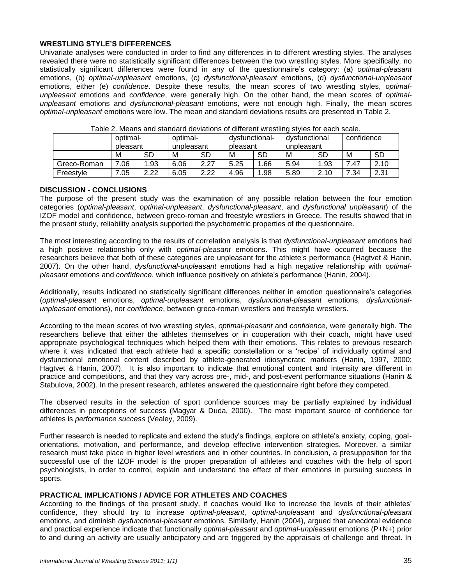#### **WRESTLING STYLE'S DIFFERENCES**

Univariate analyses were conducted in order to find any differences in to different wrestling styles. The analyses revealed there were no statistically significant differences between the two wrestling styles. More specifically, no statistically significant differences were found in any of the questionnaire"s category: (a) *optimal-pleasant* emotions, (b) *optimal-unpleasant* emotions, (c) *dysfunctional-pleasant* emotions, (d) *dysfunctional-unpleasant* emotions, either (e) *confidence*. Despite these results, the mean scores of two wrestling styles, *optimalunpleasant* emotions and *confidence*, were generally high. On the other hand, the mean scores of *optimalunpleasant* emotions and *dysfunctional-pleasant* emotions, were not enough high. Finally, the mean scores *optimal-unpleasant* emotions were low. The mean and standard deviations results are presented in Table 2.

|             | optimal-<br>pleasant |           | optimal-<br>unpleasant |      | dysfunctional-<br>pleasant |     | dysfunctional<br>unpleasant |           | confidence |           |
|-------------|----------------------|-----------|------------------------|------|----------------------------|-----|-----------------------------|-----------|------------|-----------|
|             |                      |           |                        |      |                            |     |                             |           |            |           |
|             | м                    | <b>SD</b> | М                      | SD   | M                          | SD  | м                           | SD        | M          | <b>SD</b> |
| Greco-Roman | .06                  | 1.93      | 6.06                   | 2.27 | 5.25                       | .66 | 5.94                        | 1.93      | .47        | 2.10      |
| Freestyle   | .05                  | 2.22      | 6.05                   | 2.22 | 4.96                       | .98 | 5.89                        | 2.10<br>റ | 7.34       | 2.31      |

Table 2. Means and standard deviations of different wrestling styles for each scale.

#### **DISCUSSION - CONCLUSIONS**

The purpose of the present study was the examination of any possible relation between the four emotion categories (*optimal-pleasant*, *optimal-unpleasant*, *dysfunctional-pleasant*, and *dysfunctional unpleasant*) of the IZOF model and confidence, between greco-roman and freestyle wrestlers in Greece. The results showed that in the present study, reliability analysis supported the psychometric properties of the questionnaire.

The most interesting according to the results of correlation analysis is that *dysfunctional-unpleasant* emotions had a high positive relationship only with *optimal-pleasant* emotions. This might have occurred because the researchers believe that both of these categories are unpleasant for the athlete"s performance (Hagtvet & Hanin, 2007). On the other hand, *dysfunctional-unpleasant* emotions had a high negative relationship with *optimalpleasant* emotions and *confidence*, which influence positively on athlete"s performance (Hanin, 2004).

Additionally, results indicated no statistically significant differences neither in emotion questionnaire's categories (*optimal-pleasant* emotions, *optimal-unpleasant* emotions, *dysfunctional-pleasant* emotions, *dysfunctionalunpleasant* emotions), nor *confidence*, between greco-roman wrestlers and freestyle wrestlers.

According to the mean scores of two wrestling styles, *optimal-pleasant* and *confidence*, were generally high. The researchers believe that either the athletes themselves or in cooperation with their coach, might have used appropriate psychological techniques which helped them with their emotions. This relates to previous research where it was indicated that each athlete had a specific constellation or a 'recipe' of individually optimal and dysfunctional emotional content described by athlete-generated idiosyncratic markers (Hanin, 1997, 2000; Hagtvet & Hanin, 2007). It is also important to indicate that emotional content and intensity are different in practice and competitions, and that they vary across pre-, mid-, and post-event performance situations (Hanin & Stabulova, 2002). In the present research, athletes answered the questionnaire right before they competed.

The observed results in the selection of sport confidence sources may be partially explained by individual differences in perceptions of success (Magyar & Duda, 2000). The most important source of confidence for athletes is *performance success* (Vealey, 2009).

Further research is needed to replicate and extend the study"s findings, explore on athlete"s anxiety, coping, goalorientations, motivation, and performance, and develop effective intervention strategies. Moreover, a similar research must take place in higher level wrestlers and in other countries. In conclusion, a presupposition for the successful use of the IZOF model is the proper preparation of athletes and coaches with the help of sport psychologists, in order to control, explain and understand the effect of their emotions in pursuing success in sports.

#### **PRACTICAL IMPLICATIONS / ADVICE FOR ATHLETES AND COACHES**

According to the findings of the present study, if coaches would like to increase the levels of their athletes" confidence, they should try to increase *optimal-pleasant*, *optimal-unpleasant* and *dysfunctional-pleasant* emotions, and diminish *dysfunctional-pleasant* emotions. Similarly, Hanin (2004), argued that anecdotal evidence and practical experience indicate that functionally *optimal-pleasant* and *optimal-unpleasant* emotions (P+N+) prior to and during an activity are usually anticipatory and are triggered by the appraisals of challenge and threat. In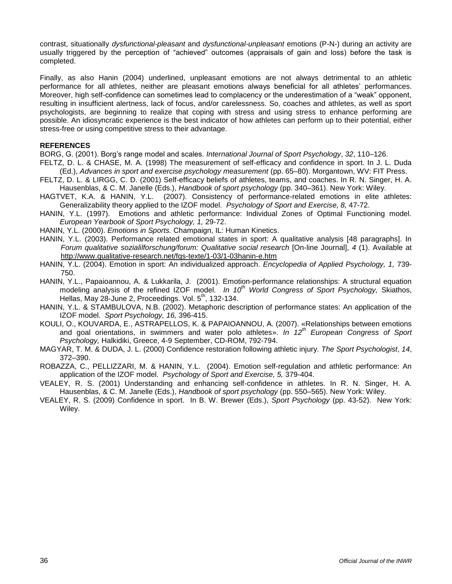contrast, situationally *dysfunctional-pleasant* and *dysfunctional-unpleasant* emotions (P-N-) during an activity are usually triggered by the perception of "achieved" outcomes (appraisals of gain and loss) before the task is completed.

Finally, as also Hanin (2004) underlined, unpleasant emotions are not always detrimental to an athletic performance for all athletes, neither are pleasant emotions always beneficial for all athletes" performances. Moreover, high self-confidence can sometimes lead to complacency or the underestimation of a "weak" opponent, resulting in insufficient alertness, lack of focus, and/or carelessness. So, coaches and athletes, as well as sport psychologists, are beginning to realize that coping with stress and using stress to enhance performing are possible. An idiosyncratic experience is the best indicator of how athletes can perform up to their potential, either stress-free or using competitive stress to their advantage.

#### **REFERENCES**

BORG, G. (2001). Borg"s range model and scales. *International Journal of Sport Psychology*, *32*, 110–126.

- FELTZ, D. L. & CHASE, M. A. (1998) The measurement of self-efficacy and confidence in sport. In J. L. Duda (Ed.), *Advances in sport and exercise psychology measurement* (pp. 65–80). Morgantown, WV: FIT Press.
- FELTZ, D. L. & LIRGG, C. D. (2001) Self-efficacy beliefs of athletes, teams, and coaches. In R. N. Singer, H. A. Hausenblas, & C. M. Janelle (Eds.), *Handbook of sport psychology* (pp. 340–361). New York: Wiley.
- HAGTVET, K.A. & HANIN, Y.L. (2007). Consistency of performance-related emotions in elite athletes: Generalizability theory applied to the IZOF model. *Psychology of Sport and Exercise, 8,* 47-72.
- HANIN, Y.L. (1997). Emotions and athletic performance: Individual Zones of Optimal Functioning model. *European Yearbook of Sport Psychology, 1,* 29-72.
- HANIN, Y.L. (2000). *Emotions in Sports.* Champaign, IL: Human Kinetics.
- HANIN, Y.L. (2003). Performance related emotional states in sport: A qualitative analysis [48 paragraphs]. In *Forum qualitative sozialilforschung/forum: Qualitative social research* [On-line Journal], *4* (1). Available at <http://www.qualitative-research.net/fqs-texte/1-03/1-03hanin-e.htm>
- HANIN, Y.L. (2004). Emotion in sport: An individualized approach. *Encyclopedia of Applied Psychology, 1,* 739- 750.
- HANIN, Y.L., Papaioannou, A. & Lukkarila, J. (2001). Emotion-performance relationships: A structural equation modeling analysis of the refined IZOF model. *In 10th World Congress of Sport Psychology,* Skiathos, Hellas, May 28-June 2, Proceedings. Vol.  $5<sup>th</sup>$ , 132-134.
- HANIN, Y.L. & STAMBULOVA, N.B. (2002). Metaphoric description of performance states: An application of the IZOF model. *Sport Psychology, 16,* 396-415.
- KOULI, Ο., KOUVARDA, E., ASTRAPELLOS, K. & PAPAIOANNOU, Α. (2007). «Relationships between emotions and goal orientations, in swimmers and water polo athletes». *In 12th European Congress of Sport Psychology,* Halkidiki, Greece, 4-9 September, CD-ROM, 792-794.
- MAGYAR, T. M. & DUDA, J. L. (2000) Confidence restoration following athletic injury. *The Sport Psychologist*, *14*, 372–390.
- ROBAZZA, C., PELLIZZARI, M. & HANIN, Y.L. (2004). Emotion self-regulation and athletic performance: An application of the IZOF model. *Psychology of Sport and Exercise, 5,* 379-404.
- VEALEY, R. S. (2001) Understanding and enhancing self-confidence in athletes. In R. N. Singer, H. A. Hausenblas, & C. M. Janelle (Eds.), *Handbook of sport psychology* (pp. 550–565). New York: Wiley.
- VEALEY, R. S. (2009) Confidence in sport. In B. W. Brewer (Eds.), *Sport Psychology* (pp. 43-52). New York: Wiley.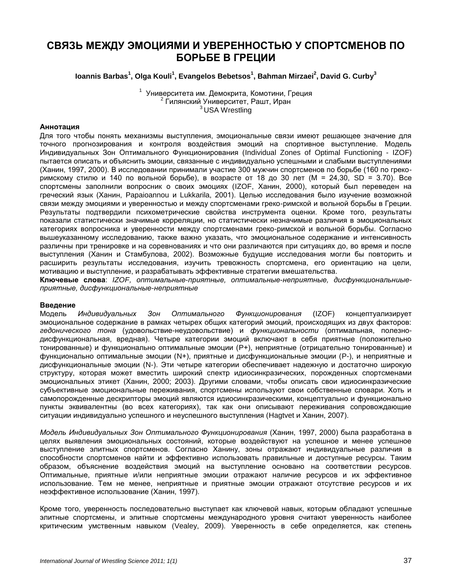# **СВЯЗЬ МЕЖДУ ЭМОЦИЯМИ И УВЕРЕННОСТЬЮ У СПОРТСМЕНОВ ПО БОРЬБЕ В ГРЕЦИИ**

**Ioannis Barbas<sup>1</sup> , Olga Kouli<sup>1</sup> , Evangelos Bebetsos<sup>1</sup> , Bahman Mirzaei<sup>2</sup> , David G. Curby<sup>3</sup>**

<sup>1</sup> Университета им. Демокрита, Комотини, Греция <sup>2</sup> Гилянский Университет, Рашт, Иран <sup>3</sup>USA Wrestling

#### **Аннотация**

Для того чтобы понять механизмы выступления, эмоциональные связи имеют решающее значение для точного прогнозирования и контроля воздействия эмоций на спортивное выступление. Модель Индивидуальных Зон Оптимального Функционирования (Individual Zones of Optimal Functioning - IZOF) пытается описать и объяснить эмоции, связанные с индивидуально успешными и слабыми выступлениями (Ханин, 1997, 2000). В исследовании принимали участие 300 мужчин спортсменов по борьбе (160 по грекоримскому стилю и 140 по вольной борьбе), в возрасте от 18 до 30 лет (М = 24,30, SD = 3.70). Все спортсмены заполнили вопросник о своих эмоциях (IZOF, Ханин, 2000), который был переведен на греческий язык (Ханин, Papaioannou и Lukkarila, 2001). Целью исследования было изучение возможной связи между эмоциями и уверенностью и между спортсменами греко-римской и вольной борьбы в Греции. Результаты подтвердили психометрические свойства инструмента оценки. Кроме того, результаты показали статистически значимые корреляции, но статистически незначимые различия в эмоциональных категориях вопросника и уверенности между спортсменами греко-римской и вольной борьбы. Согласно вышеуказанному исследованию, также важно указать, что эмоциональное содержание и интенсивность различны при тренировке и на соревнованиях и что они различаются при ситуациях до, во время и после выступления (Ханин и Стамбулова, 2002). Возможные будущие исследования могли бы повторить и расширить результаты исследования, изучить тревожность спортсмена, его ориентацию на цели, мотивацию и выступление, и разрабатывать эффективные стратегии вмешательства.

**Ключевые слова**: *IZOF, оптимальные-приятные, оптимальные-неприятные, дисфункциональниыеприятные, дисфункциональные-неприятные*

#### **Введение**

Модель *Индивидуальных Зон Оптимального Функционирования* (IZOF) концептуализирует эмоциональное содержание в рамках четырех общих категорий эмоций, происходящих из двух факторов: *гедонического тона* (удовольствие-неудовольствие) и *функциональности* (оптимальная, полезнодисфункциональная, вредная). Четыре категории эмоций включают в себя приятные (положительно тонированные) и функционально оптимальные эмоции (P+), неприятные (отрицательно тонированные) и функционально оптимальные эмоции (N+), приятные и дисфункциональные эмоции (P-), и неприятные и дисфункциональные эмоции (N-). Эти четыре категории обеспечивает надежную и достаточно широкую структуру, которая может вместить широкий спектр идиосинкразических, порожденных спортсменами эмоциональных этикет (Ханин, 2000; 2003). Другими словами, чтобы описать свои идиосинкразические субъективные эмоциональные переживания, спортсмены используют свои собственные словари. Хоть и самопорожденные дескрипторы эмоций являются идиосинкразическими, концептуально и функционально пункты эквивалентны (во всех категориях), так как они описывают переживания сопровождающие ситуации индивидуально успешного и неуспешного выступления (Hagtvet и Ханин, 2007).

*Модель Индивидуальных Зон Оптимального Функционирования* (Ханин, 1997, 2000) была разработана в целях выявления эмоциональных состояний, которые воздействуют на успешное и менее успешное выступление элитных спортсменов. Согласно Ханину, зоны отражают индивидуальные различия в способности спортсменов найти и эффективно использовать правильные и доступные ресурсы. Таким образом, объяснение воздействия эмоций на выступление основано на соответствии ресурсов. Оптимальные, приятные и/или неприятные эмоции отражают наличие ресурсов и их эффективное использование. Тем не менее, неприятные и приятные эмоции отражают отсутствие ресурсов и их неэффективное использование (Ханин, 1997).

Кроме того, уверенность последовательно выступает как ключевой навык, которым обладают успешные элитные спортсмены, и элитные спортсмены международного уровня считают уверенность наиболее критическим умственным навыком (Vealey, 2009). Уверенность в себе определяется, как степень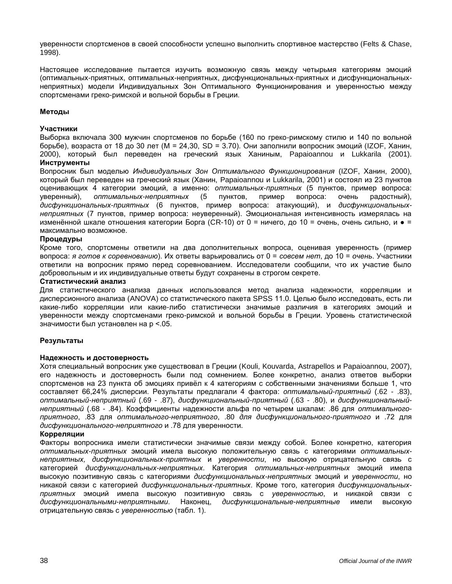уверенности спортсменов в своей способности успешно выполнить спортивное мастерство (Felts & Chase, 1998).

Настоящее исследование пытается изучить возможную связь между четырьмя категориям эмоций (оптимальных-приятных, оптимальных-неприятных, дисфункциональных-приятных и дисфункциональныхнеприятных) модели Индивидуальных Зон Оптимального Функционирования и уверенностью между спортсменами греко-римской и вольной борьбы в Греции.

#### **Методы**

#### **Участники**

Выборка включала 300 мужчин спортсменов по борьбе (160 по греко-римскому стилю и 140 по вольной борьбе), возраста от 18 до 30 лет (М = 24,30, SD = 3.70). Они заполнили вопросник эмоций (IZOF, Ханин, 2000), который был переведен на греческий язык Ханиным, Papaioannou и Lukkarila (2001).

**Инструменты**

Вопросник был моделью *Индивидуальных Зон Оптимального Функционирования* (IZOF, Ханин, 2000), который был переведен на греческий язык (Ханин, Papaioannou и Lukkarila, 2001) и состоял из 23 пунктов оценивающих 4 категории эмоций, а именно: *оптимальных-приятных* (5 пунктов, пример вопроса: уверенный), *оптимальных-неприятных* (5 пунктов, пример вопроса: очень радостный), *дисфункциональных-приятных* (6 пунктов, пример вопроса: атакующий), и *дисфункциональныхнеприятных* (7 пунктов, пример вопроса: неуверенный). Эмоциональная интенсивность измерялась на изменённой шкале отношения категории Борга (CR-10) от 0 = ничего, до 10 = очень, очень сильно, и  $\bullet$  = максимально возможное.

#### **Процедуры**

Кроме того, спортсмены ответили на два дополнительных вопроса, оценивая уверенность (пример вопроса: *я готов к соревнованию*). Их ответы варьировались от 0 = *совсем нет*, до 10 = *очень*. Участники ответили на вопросник прямо перед соревнованием. Исследователи сообщили, что их участие было добровольным и их индивидуальные ответы будут сохранены в строгом секрете.

#### **Статистический анализ**

Для статистического анализа данных использовался метод анализа надежности, корреляции и дисперсионного анализа (ANOVA) со статистического пакета SPSS 11.0. Целью было исследовать, есть ли какие-либо корреляции или какие-либо статистически значимые различия в категориях эмоций и уверенности между спортсменами греко-римской и вольной борьбы в Греции. Уровень статистической значимости был установлен на р <.05.

#### **Результаты**

#### **Надежность и достоверность**

Хотя специальный вопросник уже существовал в Греции (Kouli, Kouvarda, Astrapellos и Papaioannou, 2007), его надежность и достоверность были под сомнением. Более конкретно, анализ ответов выборки спортсменов на 23 пункта об эмоциях привѐл к 4 категориям с собственными значениями больше 1, что составляет 66,24% дисперсии. Результаты предлагали 4 фактора: *оптимальный-приятный* (.62 - .83), *оптимальный-неприятный* (.69 - .87), *дисфункциональный-приятный* (.63 - .80), и *дисфункциональныйнеприятный* (.68 - .84). Коэффициенты надежности альфа по четырем шкалам: .86 для *оптимальногоприятного*, .83 для *оптимального-неприятного*, .80 *для дисфункционального-приятного* и .72 для *дисфункционального-неприятного* и .78 для уверенности.

#### **Корреляции**

Факторы вопросника имели статистически значимые связи между собой. Более конкретно, категория *оптимальных-приятных* эмоций имела высокую положительную связь с категориями *оптимальныхнеприятных, дисфункциональных-приятных* и *уверенности*, но высокую отрицательную связь с категорией *дисфункциональных-неприятных*. Категория *оптимальных-неприятных* эмоций имела высокую позитивную связь с категориями *дисфункциональных-неприятных* эмоций и *уверенности*, но никакой связи с категорией *дисфункциональных-приятных*. Кроме того, категория *дисфункциональныхприятных* эмоций имела высокую позитивную связь с *уверенностью*, и никакой связи с *дисфункциональными-неприятными*. Наконец, *дисфункциональные-неприятные* имели высокую отрицательную связь с *уверенностью* (табл. 1).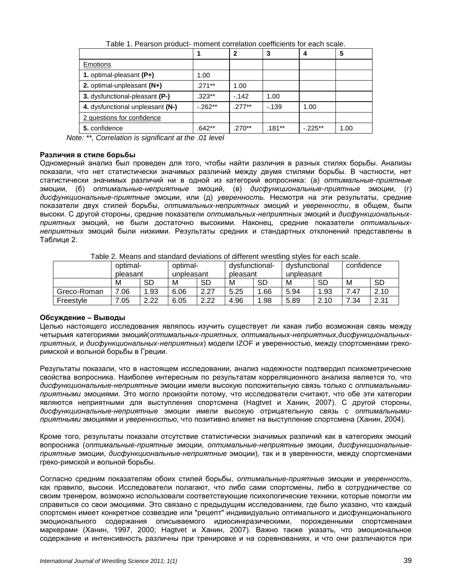|                                  |            | 2        | 3      | 4         | 5    |
|----------------------------------|------------|----------|--------|-----------|------|
| Emotions                         |            |          |        |           |      |
| 1. optimal-pleasant (P+)         | 1.00       |          |        |           |      |
| 2. optimal-unpleasant (N+)       | $.271***$  | 1.00     |        |           |      |
| 3. dysfunctional-pleasant (P-)   | .323**     | $-142$   | 1.00   |           |      |
| 4. dysfunctional unpleasant (N-) | $-0.262**$ | $.277**$ | $-139$ | 1.00      |      |
| 2 questions for confidence       |            |          |        |           |      |
| 5. confidence                    | .642**     | $.270**$ | .181** | $-.225**$ | 1.00 |

Table 1. Pearson product- moment correlation coefficients for each scale.

*Note: \*\*, Correlation is significant at the .01 level*

#### **Различия в стиле борьбы**

Одномерный анализ был проведен для того, чтобы найти различия в разных стилях борьбы. Анализы показали, что нет статистически значимых различий между двумя стилями борьбы. В частности, нет статистически значимых различий ни в одной из категорий вопросника: (а) *оптимальные-приятные*  эмоции, (б) *оптимальные-неприятные* эмоций, (в) *дисфункциональные-приятные* эмоции, (г) *дисфункциональные-приятные* эмоции, или (д) *уверенность.* Несмотря на эти результаты, средние показатели двух стилей борьбы, *оптимальных-неприятных* эмоций и *уверенности*, в общем, были высоки. С другой стороны, средние показатели *оптимальных-неприятных* эмоций и *дисфункциональныхприятных* эмоций, не были достаточно высокими. Наконец, средние показатели *оптимальныхнеприятных* эмоций были низкими. Результаты средних и стандартных отклонений представлены в Таблице 2.

| ו טוסטי וויסטוויט מווט טוויסטווייט טויסטוויט טויסטוויט טוויסטוויט און דער טוויסטווייט וויסטווייט וויסטווייט וו |          |      |            |      |                |      |               |           |            |      |
|----------------------------------------------------------------------------------------------------------------|----------|------|------------|------|----------------|------|---------------|-----------|------------|------|
|                                                                                                                | optimal- |      | optimal-   |      | dysfunctional- |      | dvsfunctional |           | confidence |      |
|                                                                                                                | pleasant |      | unpleasant |      | pleasant       |      | unpleasant    |           |            |      |
|                                                                                                                | м        | SD   | M          | SD   | M              | SD   | M             | <b>SD</b> | M          | -SD  |
| Greco-Roman                                                                                                    | .06      | 1.93 | 6.06       | 2.27 | 5.25           | 1.66 | 5.94          | 1.93      | . 47       | 2.10 |
| Freestyle                                                                                                      | .05      | 2.22 | 6.05       | 2.22 | 4.96           | 1.98 | 5.89          | 2.10      | 7.34       | 2.31 |

Table 2. Means and standard deviations of different wrestling styles for each scale.

# **Обсуждение – Выводы**

Целью настоящего исследования являлось изучить существует ли какая либо возможная связь между четырьмя категориями эмоций(*оптимальных-приятных, оптимальных-неприятных,дисфункциональныхприятных,* и *дисфункциональных-неприятных*) модели IZOF и уверенностью, между спортсменами грекоримской и вольной борьбы в Греции.

Результаты показали, что в настоящем исследовании, анализ надежности подтвердил психометрические свойства вопросника. Наиболее интересным по результатам корреляционного анализа является то, что *дисфункциональные-неприятные* эмоции имели высокую положительную связь только с *оптимальнымиприятными* эмоциями. Это могло произойти потому, что исследователи считают, что обе эти категории являются неприятными для выступления спортсмена (Hagtvet и Ханин, 2007). С другой стороны, *дисфункциональные-неприятные* эмоции имели высокую отрицательную связь с *оптимальнымиприятными* эмоциями и *уверенностью*, что позитивно влияет на выступление спортсмена (Ханин, 2004).

Кроме того, результаты показали отсутствие статистически значимых различий как в категориях эмоций вопросника (*оптимальные-приятные* эмоции, *оптимальные-неприятные* эмоции, *дисфункциональныеприятные* эмоции, *дисфункциональные-неприятные* эмоции), так и в уверенности, между спортсменами греко-римской и вольной борьбы.

Согласно средним показателям обоих стилей борьбы, *оптимальные-приятные* эмоции и *уверенность*, как правило, высоки. Исследователи полагают, что либо сами спортсмены, либо в сотрудничестве со своим тренером, возможно использовали соответствующие психологические техники, которые помогли им справиться со свои эмоциями. Это связано с предыдущим исследованием, где было указано, что каждый спортсмен имеет конкретное созвездие или "рецепт" индивидуально оптимального и дисфункционального эмоционального содержания описываемого идиосинкразическими, порожденными спортсменами маркерами (Ханин, 1997, 2000; Hagtvet и Ханин, 2007). Важно также указать, что эмоциональное содержание и интенсивность различны при тренировке и на соревнованиях, и что они различаются при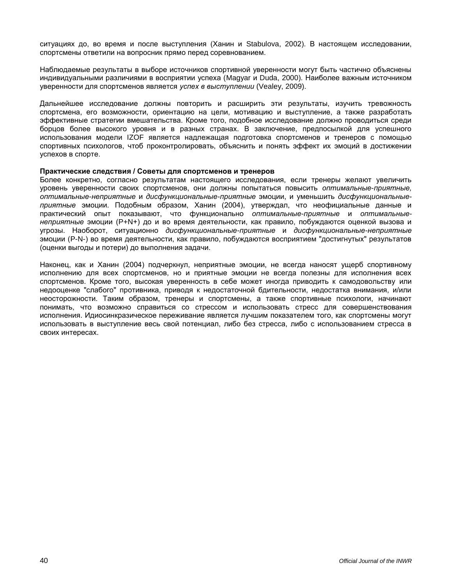ситуациях до, во время и после выступления (Ханин и Stabulova, 2002). В настоящем исследовании, спортсмены ответили на вопросник прямо перед соревнованием.

Наблюдаемые результаты в выборе источников спортивной уверенности могут быть частично объяснены индивидуальными различиями в восприятии успеха (Magyar и Duda, 2000). Наиболее важным источником уверенности для спортсменов является *успех в выступлении* (Vealey, 2009).

Дальнейшее исследование должны повторить и расширить эти результаты, изучить тревожность спортсмена, его возможности, ориентацию на цели, мотивацию и выступление, а также разработать эффективные стратегии вмешательства. Кроме того, подобное исследование должно проводиться среди борцов более высокого уровня и в разных странах. В заключение, предпосылкой для успешного использования модели IZOF является надлежащая подготовка спортсменов и тренеров с помощью спортивных психологов, чтоб проконтролировать, объяснить и понять эффект их эмоций в достижении успехов в спорте.

#### **Практические следствия / Советы для спортсменов и тренеров**

Более конкретно, согласно результатам настоящего исследования, если тренеры желают увеличить уровень уверенности своих спортсменов, они должны попытаться повысить *оптимальные-приятные, оптимальные-неприятные* и *дисфункциональные-приятные* эмоции, и уменьшить *дисфункциональныеприятные* эмоции. Подобным образом, Ханин (2004), утверждал, что неофициальные данные и практический опыт показывают, что функционально *оптимальные-приятные* и *оптимальныенеприятные* эмоции (P+N+) до и во время деятельности, как правило, побуждаются оценкой вызова и угрозы. Наоборот, ситуационно *дисфункциональные-приятные* и *дисфункциональные-неприятные* эмоции (P-N-) во время деятельности, как правило, побуждаются восприятием "достигнутых" результатов (оценки выгоды и потери) до выполнения задачи.

Наконец, как и Ханин (2004) подчеркнул, неприятные эмоции, не всегда наносят ущерб спортивному исполнению для всех спортсменов, но и приятные эмоции не всегда полезны для исполнения всех спортсменов. Кроме того, высокая уверенность в себе может иногда приводить к самодовольству или недооценке "слабого" противника, приводя к недостаточной бдительности, недостатка внимания, и/или неосторожности. Таким образом, тренеры и спортсмены, а также спортивные психологи, начинают понимать, что возможно справиться со стрессом и использовать стресс для совершенствования исполнения. Идиосинкразическое переживание является лучшим показателем того, как спортсмены могут использовать в выступление весь свой потенциал, либо без стресса, либо с использованием стресса в своих интересах.